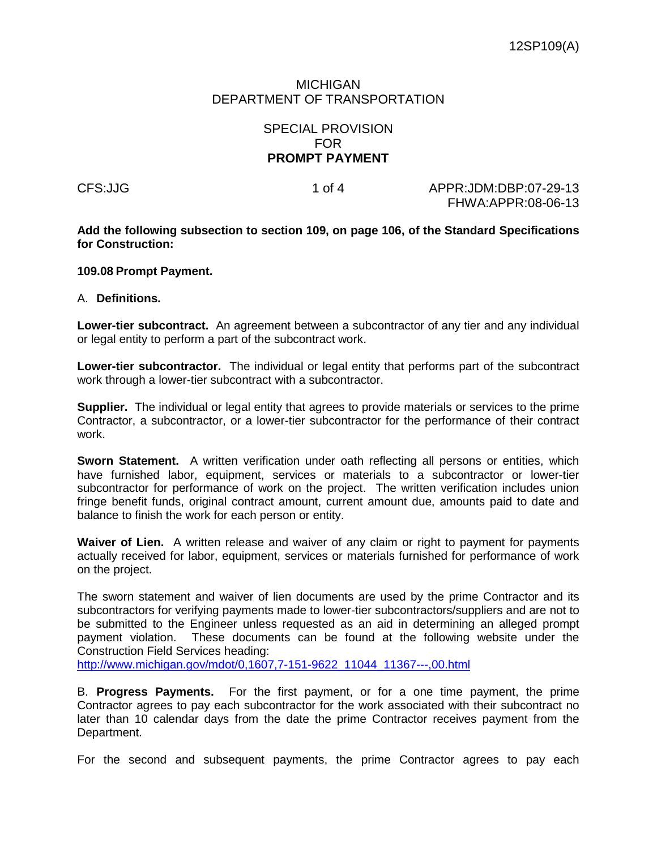## MICHIGAN DEPARTMENT OF TRANSPORTATION

## SPECIAL PROVISION FOR **PROMPT PAYMENT**

CFS:JJG 1 of 4 APPR:JDM:DBP:07-29-13 FHWA:APPR:08-06-13

**Add the following subsection to section 109, on page 106, of the Standard Specifications for Construction:**

## **109.08 Prompt Payment.**

## A. **Definitions.**

**Lower-tier subcontract.** An agreement between a subcontractor of any tier and any individual or legal entity to perform a part of the subcontract work.

**Lower-tier subcontractor.** The individual or legal entity that performs part of the subcontract work through a lower-tier subcontract with a subcontractor.

**Supplier.** The individual or legal entity that agrees to provide materials or services to the prime Contractor, a subcontractor, or a lower-tier subcontractor for the performance of their contract work.

**Sworn Statement.** A written verification under oath reflecting all persons or entities, which have furnished labor, equipment, services or materials to a subcontractor or lower-tier subcontractor for performance of work on the project. The written verification includes union fringe benefit funds, original contract amount, current amount due, amounts paid to date and balance to finish the work for each person or entity.

**Waiver of Lien.** A written release and waiver of any claim or right to payment for payments actually received for labor, equipment, services or materials furnished for performance of work on the project.

The sworn statement and waiver of lien documents are used by the prime Contractor and its subcontractors for verifying payments made to lower-tier subcontractors/suppliers and are not to be submitted to the Engineer unless requested as an aid in determining an alleged prompt payment violation. These documents can be found at the following website under the Construction Field Services heading:

[http://www.michigan.gov/mdot/0,1607,7-151-9622\\_11044\\_11367---,00.html](http://www.michigan.gov/mdot/0,1607,7-151-9622_11044_11367---,00.html)

B. **Progress Payments.** For the first payment, or for a one time payment, the prime Contractor agrees to pay each subcontractor for the work associated with their subcontract no later than 10 calendar days from the date the prime Contractor receives payment from the Department.

For the second and subsequent payments, the prime Contractor agrees to pay each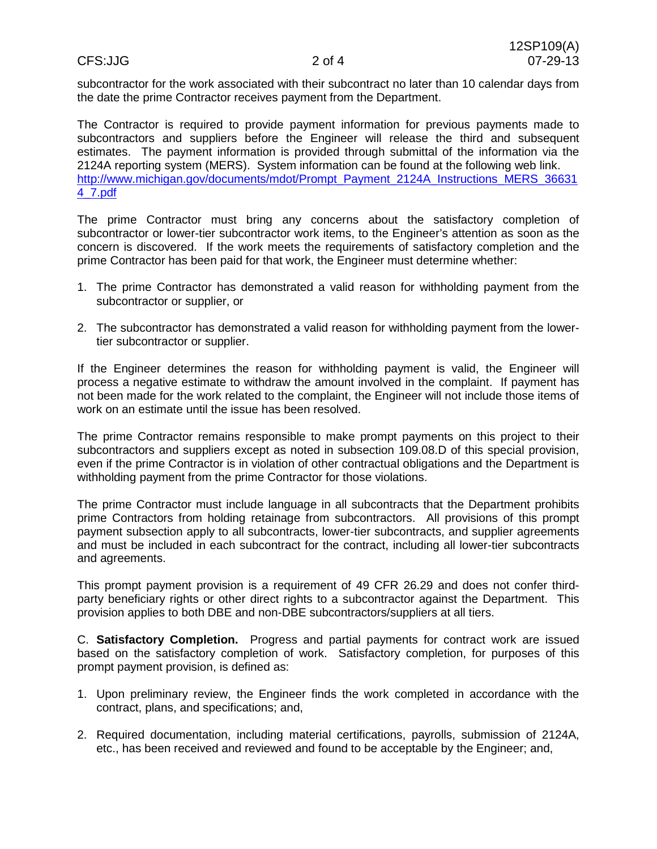subcontractor for the work associated with their subcontract no later than 10 calendar days from the date the prime Contractor receives payment from the Department.

The Contractor is required to provide payment information for previous payments made to subcontractors and suppliers before the Engineer will release the third and subsequent estimates. The payment information is provided through submittal of the information via the 2124A reporting system (MERS). System information can be found at the following web link. [http://www.michigan.gov/documents/mdot/Prompt\\_Payment\\_2124A\\_Instructions\\_MERS\\_36631](http://www.michigan.gov/documents/mdot/Prompt_Payment_2124A_Instructions_MERS_366314_7.pdf) [4\\_7.pdf](http://www.michigan.gov/documents/mdot/Prompt_Payment_2124A_Instructions_MERS_366314_7.pdf)

The prime Contractor must bring any concerns about the satisfactory completion of subcontractor or lower-tier subcontractor work items, to the Engineer's attention as soon as the concern is discovered. If the work meets the requirements of satisfactory completion and the prime Contractor has been paid for that work, the Engineer must determine whether:

- 1. The prime Contractor has demonstrated a valid reason for withholding payment from the subcontractor or supplier, or
- 2. The subcontractor has demonstrated a valid reason for withholding payment from the lowertier subcontractor or supplier.

If the Engineer determines the reason for withholding payment is valid, the Engineer will process a negative estimate to withdraw the amount involved in the complaint. If payment has not been made for the work related to the complaint, the Engineer will not include those items of work on an estimate until the issue has been resolved.

The prime Contractor remains responsible to make prompt payments on this project to their subcontractors and suppliers except as noted in subsection 109.08.D of this special provision, even if the prime Contractor is in violation of other contractual obligations and the Department is withholding payment from the prime Contractor for those violations.

The prime Contractor must include language in all subcontracts that the Department prohibits prime Contractors from holding retainage from subcontractors. All provisions of this prompt payment subsection apply to all subcontracts, lower-tier subcontracts, and supplier agreements and must be included in each subcontract for the contract, including all lower-tier subcontracts and agreements.

This prompt payment provision is a requirement of 49 CFR 26.29 and does not confer thirdparty beneficiary rights or other direct rights to a subcontractor against the Department. This provision applies to both DBE and non-DBE subcontractors/suppliers at all tiers.

C. **Satisfactory Completion.** Progress and partial payments for contract work are issued based on the satisfactory completion of work. Satisfactory completion, for purposes of this prompt payment provision, is defined as:

- 1. Upon preliminary review, the Engineer finds the work completed in accordance with the contract, plans, and specifications; and,
- 2. Required documentation, including material certifications, payrolls, submission of 2124A, etc., has been received and reviewed and found to be acceptable by the Engineer; and,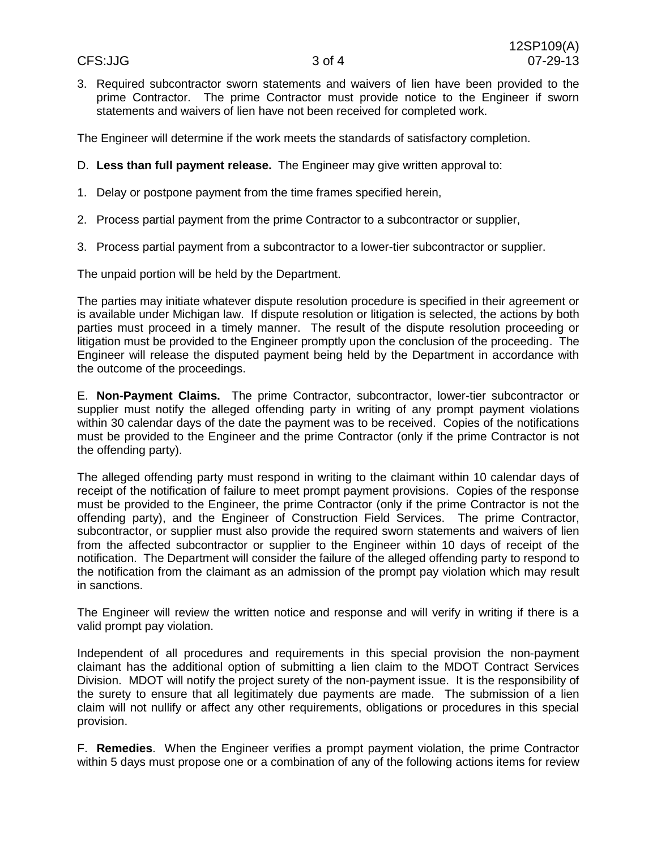3. Required subcontractor sworn statements and waivers of lien have been provided to the prime Contractor. The prime Contractor must provide notice to the Engineer if sworn statements and waivers of lien have not been received for completed work.

The Engineer will determine if the work meets the standards of satisfactory completion.

- D. **Less than full payment release.** The Engineer may give written approval to:
- 1. Delay or postpone payment from the time frames specified herein,
- 2. Process partial payment from the prime Contractor to a subcontractor or supplier,
- 3. Process partial payment from a subcontractor to a lower-tier subcontractor or supplier.

The unpaid portion will be held by the Department.

The parties may initiate whatever dispute resolution procedure is specified in their agreement or is available under Michigan law. If dispute resolution or litigation is selected, the actions by both parties must proceed in a timely manner. The result of the dispute resolution proceeding or litigation must be provided to the Engineer promptly upon the conclusion of the proceeding. The Engineer will release the disputed payment being held by the Department in accordance with the outcome of the proceedings.

E. **Non-Payment Claims.** The prime Contractor, subcontractor, lower-tier subcontractor or supplier must notify the alleged offending party in writing of any prompt payment violations within 30 calendar days of the date the payment was to be received. Copies of the notifications must be provided to the Engineer and the prime Contractor (only if the prime Contractor is not the offending party).

The alleged offending party must respond in writing to the claimant within 10 calendar days of receipt of the notification of failure to meet prompt payment provisions. Copies of the response must be provided to the Engineer, the prime Contractor (only if the prime Contractor is not the offending party), and the Engineer of Construction Field Services. The prime Contractor, subcontractor, or supplier must also provide the required sworn statements and waivers of lien from the affected subcontractor or supplier to the Engineer within 10 days of receipt of the notification. The Department will consider the failure of the alleged offending party to respond to the notification from the claimant as an admission of the prompt pay violation which may result in sanctions.

The Engineer will review the written notice and response and will verify in writing if there is a valid prompt pay violation.

Independent of all procedures and requirements in this special provision the non-payment claimant has the additional option of submitting a lien claim to the MDOT Contract Services Division. MDOT will notify the project surety of the non-payment issue. It is the responsibility of the surety to ensure that all legitimately due payments are made. The submission of a lien claim will not nullify or affect any other requirements, obligations or procedures in this special provision.

F. **Remedies**. When the Engineer verifies a prompt payment violation, the prime Contractor within 5 days must propose one or a combination of any of the following actions items for review